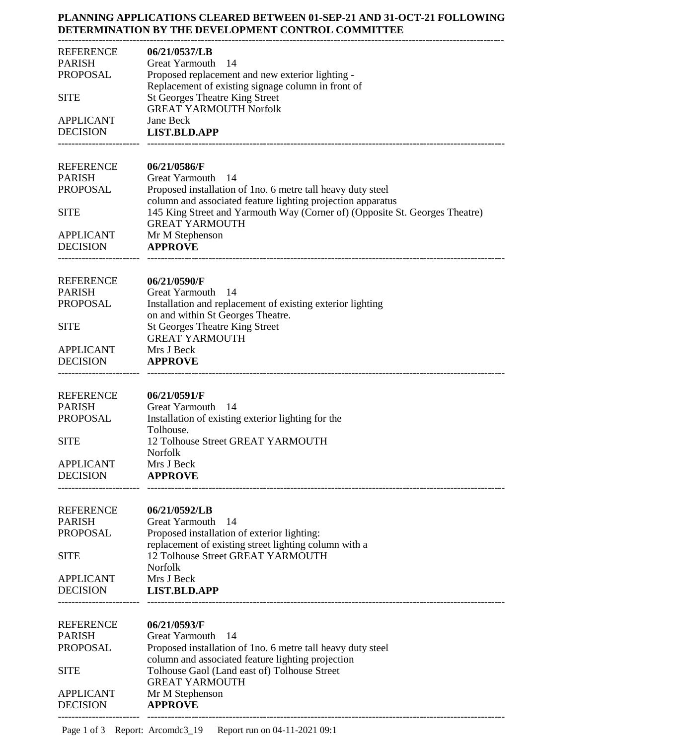## **PLANNING APPLICATIONS CLEARED BETWEEN 01-SEP-21 AND 31-OCT-21 FOLLOWING DETERMINATION BY THE DEVELOPMENT CONTROL COMMITTEE**

| REFERENCE                           | 06/21/0537/LB                                                                                          |
|-------------------------------------|--------------------------------------------------------------------------------------------------------|
| <b>PARISH</b>                       | -14<br>Great Yarmouth                                                                                  |
| PROPOSAL                            | Proposed replacement and new exterior lighting -<br>Replacement of existing signage column in front of |
| <b>SITE</b>                         | <b>St Georges Theatre King Street</b><br><b>GREAT YARMOUTH Norfolk</b>                                 |
| <b>APPLICANT</b>                    | Jane Beck                                                                                              |
| <b>DECISION</b>                     | <b>LIST.BLD.APP</b>                                                                                    |
| <b>REFERENCE</b>                    | 06/21/0586/F                                                                                           |
| <b>PARISH</b><br>PROPOSAL           | Great Yarmouth<br>- 14<br>Proposed installation of 1 no. 6 metre tall heavy duty steel                 |
|                                     | column and associated feature lighting projection apparatus                                            |
| <b>SITE</b>                         | 145 King Street and Yarmouth Way (Corner of) (Opposite St. Georges Theatre)<br><b>GREAT YARMOUTH</b>   |
| <b>APPLICANT</b>                    | Mr M Stephenson                                                                                        |
| <b>DECISION</b>                     | <b>APPROVE</b>                                                                                         |
| <b>REFERENCE</b>                    | 06/21/0590/F                                                                                           |
| <b>PARISH</b><br>PROPOSAL           | Great Yarmouth 14<br>Installation and replacement of existing exterior lighting                        |
|                                     | on and within St Georges Theatre.                                                                      |
| <b>SITE</b>                         | <b>St Georges Theatre King Street</b>                                                                  |
|                                     | <b>GREAT YARMOUTH</b>                                                                                  |
| <b>APPLICANT</b><br><b>DECISION</b> | Mrs J Beck<br><b>APPROVE</b>                                                                           |
|                                     |                                                                                                        |
| <b>REFERENCE</b>                    | 06/21/0591/F                                                                                           |
| <b>PARISH</b>                       | Great Yarmouth 14                                                                                      |
| <b>PROPOSAL</b>                     | Installation of existing exterior lighting for the<br>Tolhouse.                                        |
| <b>SITE</b>                         | 12 Tolhouse Street GREAT YARMOUTH                                                                      |
|                                     | Norfolk                                                                                                |
| <b>APPLICANT</b><br><b>DECISION</b> | Mrs J Beck<br><b>APPROVE</b>                                                                           |
|                                     |                                                                                                        |
| <b>REFERENCE</b>                    | 06/21/0592/LB                                                                                          |
| <b>PARISH</b>                       | Great Yarmouth<br>- 14                                                                                 |
| <b>PROPOSAL</b>                     | Proposed installation of exterior lighting:<br>replacement of existing street lighting column with a   |
| <b>SITE</b>                         | 12 Tolhouse Street GREAT YARMOUTH                                                                      |
|                                     | Norfolk                                                                                                |
| <b>APPLICANT</b>                    | Mrs J Beck                                                                                             |
| <b>DECISION</b>                     | <b>LIST.BLD.APP</b>                                                                                    |
| <b>REFERENCE</b>                    | 06/21/0593/F                                                                                           |
| <b>PARISH</b>                       | <b>Great Yarmouth</b><br>- 14                                                                          |
| <b>PROPOSAL</b>                     | Proposed installation of 1no. 6 metre tall heavy duty steel                                            |
| <b>SITE</b>                         | column and associated feature lighting projection<br>Tolhouse Gaol (Land east of) Tolhouse Street      |
|                                     | <b>GREAT YARMOUTH</b>                                                                                  |
| <b>APPLICANT</b>                    | Mr M Stephenson                                                                                        |
| <b>DECISION</b>                     | <b>APPROVE</b>                                                                                         |
|                                     |                                                                                                        |

Page 1 of 3 Report: Arcomdc3\_19 Report run on 04-11-2021 09:1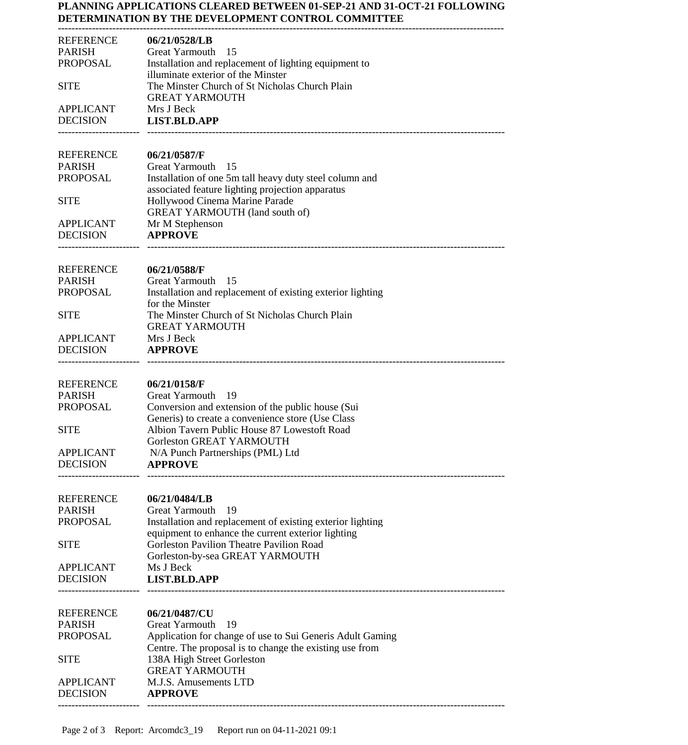## **PLANNING APPLICATIONS CLEARED BETWEEN 01-SEP-21 AND 31-OCT-21 FOLLOWING DETERMINATION BY THE DEVELOPMENT CONTROL COMMITTEE**

| <b>REFERENCE</b>                    | 06/21/0528/LB                                                                                          |
|-------------------------------------|--------------------------------------------------------------------------------------------------------|
| <b>PARISH</b><br>PROPOSAL           | Great Yarmouth<br>-15<br>Installation and replacement of lighting equipment to                         |
|                                     | illuminate exterior of the Minster                                                                     |
| <b>SITE</b>                         | The Minster Church of St Nicholas Church Plain                                                         |
| <b>APPLICANT</b>                    | <b>GREAT YARMOUTH</b><br>Mrs J Beck                                                                    |
| <b>DECISION</b>                     | <b>LIST.BLD.APP</b>                                                                                    |
|                                     |                                                                                                        |
| <b>REFERENCE</b>                    | 06/21/0587/F                                                                                           |
| <b>PARISH</b><br><b>PROPOSAL</b>    | Great Yarmouth<br>- 15<br>Installation of one 5m tall heavy duty steel column and                      |
|                                     | associated feature lighting projection apparatus                                                       |
| <b>SITE</b>                         | Hollywood Cinema Marine Parade                                                                         |
| <b>APPLICANT</b>                    | <b>GREAT YARMOUTH (land south of)</b><br>Mr M Stephenson                                               |
| <b>DECISION</b>                     | <b>APPROVE</b>                                                                                         |
|                                     |                                                                                                        |
| <b>REFERENCE</b>                    | 06/21/0588/F                                                                                           |
| <b>PARISH</b>                       | Great Yarmouth 15                                                                                      |
| <b>PROPOSAL</b>                     | Installation and replacement of existing exterior lighting<br>for the Minster                          |
| <b>SITE</b>                         | The Minster Church of St Nicholas Church Plain                                                         |
|                                     | <b>GREAT YARMOUTH</b>                                                                                  |
| <b>APPLICANT</b><br><b>DECISION</b> | Mrs J Beck<br><b>APPROVE</b>                                                                           |
|                                     |                                                                                                        |
| <b>REFERENCE</b>                    | 06/21/0158/F                                                                                           |
| <b>PARISH</b>                       | Great Yarmouth<br>- 19                                                                                 |
| <b>PROPOSAL</b>                     | Conversion and extension of the public house (Sui<br>Generis) to create a convenience store (Use Class |
| <b>SITE</b>                         | Albion Tavern Public House 87 Lowestoft Road                                                           |
|                                     | Gorleston GREAT YARMOUTH                                                                               |
| <b>APPLICANT</b><br><b>DECISION</b> | N/A Punch Partnerships (PML) Ltd<br><b>APPROVE</b>                                                     |
|                                     |                                                                                                        |
| <b>REFERENCE</b>                    | 06/21/0484/LB                                                                                          |
| <b>PARISH</b>                       | Great Yarmouth<br>-19                                                                                  |
| <b>PROPOSAL</b>                     | Installation and replacement of existing exterior lighting                                             |
| <b>SITE</b>                         | equipment to enhance the current exterior lighting<br>Gorleston Pavilion Theatre Pavilion Road         |
|                                     | Gorleston-by-sea GREAT YARMOUTH                                                                        |
| <b>APPLICANT</b><br><b>DECISION</b> | Ms J Beck                                                                                              |
|                                     | <b>LIST.BLD.APP</b>                                                                                    |
|                                     |                                                                                                        |
| <b>REFERENCE</b><br><b>PARISH</b>   | 06/21/0487/CU<br><b>Great Yarmouth</b><br>-19                                                          |
| <b>PROPOSAL</b>                     | Application for change of use to Sui Generis Adult Gaming                                              |
|                                     | Centre. The proposal is to change the existing use from                                                |
| <b>SITE</b>                         | 138A High Street Gorleston<br><b>GREAT YARMOUTH</b>                                                    |
| <b>APPLICANT</b>                    | M.J.S. Amusements LTD                                                                                  |
| <b>DECISION</b>                     | <b>APPROVE</b>                                                                                         |
|                                     |                                                                                                        |